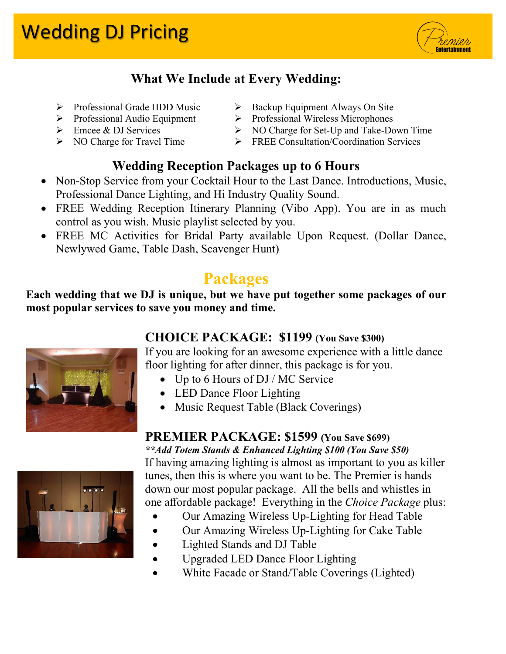

## **What We Include at Every Wedding:**

- $\triangleright$  Professional Grade HDD Music  $\triangleright$  Backup Equipment Always On Site
- 
- 
- 

#### **Wedding Reception Packages up to 6 Hours**

- Non-Stop Service from your Cocktail Hour to the Last Dance. Introductions, Music, Professional Dance Lighting, and Hi Industry Quality Sound.
- FREE Wedding Reception Itinerary Planning (Vibo App). You are in as much control as you wish. Music playlist selected by you.
- FREE MC Activities for Bridal Party available Upon Request. (Dollar Dance, Newlywed Game, Table Dash, Scavenger Hunt)

# **Packages**

**Each wedding that we DJ is unique, but we have put together some packages of our most popular services to save you money and time.**

#### **CHOICE PACKAGE: \$1199 (You Save \$300)**

If you are looking for an awesome experience with a little dance floor lighting for after dinner, this package is for you.

- Up to 6 Hours of DJ / MC Service
- LED Dance Floor Lighting
- Music Request Table (Black Coverings)

### **PREMIER PACKAGE: \$1599 (You Save \$699)**

*\*\*Add Totem Stands & Enhanced Lighting \$100 (You Save \$50)* If having amazing lighting is almost as important to you as killer tunes, then this is where you want to be. The Premier is hands down our most popular package. All the bells and whistles in

one affordable package! Everything in the *Choice Package* plus:

- Our Amazing Wireless Up-Lighting for Head Table
- Our Amazing Wireless Up-Lighting for Cake Table
- Lighted Stands and DJ Table
- Upgraded LED Dance Floor Lighting
- White Facade or Stand/Table Coverings (Lighted)





- Professional Audio Equipment Professional Wireless Microphones
- Emcee & DJ Services  $\triangleright$  NO Charge for Set-Up and Take-Down Time
- NO Charge for Travel Time FREE Consultation/Coordination Services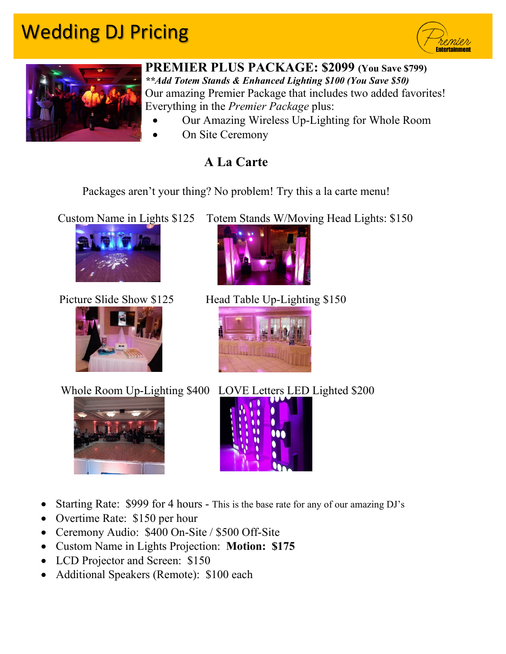# Wedding DJ Pricing





#### **PREMIER PLUS PACKAGE: \$2099 (You Save \$799)** *\*\*Add Totem Stands & Enhanced Lighting \$100 (You Save \$50)* Our amazing Premier Package that includes two added favorites!

Everything in the *Premier Package* plus:

- Our Amazing Wireless Up-Lighting for Whole Room
- On Site Ceremony

## **A La Carte**

Packages aren't your thing? No problem! Try this a la carte menu!

Custom Name in Lights \$125 Totem Stands W/Moving Head Lights: \$150







Picture Slide Show \$125 Head Table Up-Lighting \$150



Whole Room Up-Lighting \$400 LOVE Letters LED Lighted \$200





- Starting Rate: \$999 for 4 hours This is the base rate for any of our amazing DJ's
- Overtime Rate: \$150 per hour
- Ceremony Audio: \$400 On-Site / \$500 Off-Site
- Custom Name in Lights Projection: **Motion: \$175**
- LCD Projector and Screen: \$150
- Additional Speakers (Remote): \$100 each